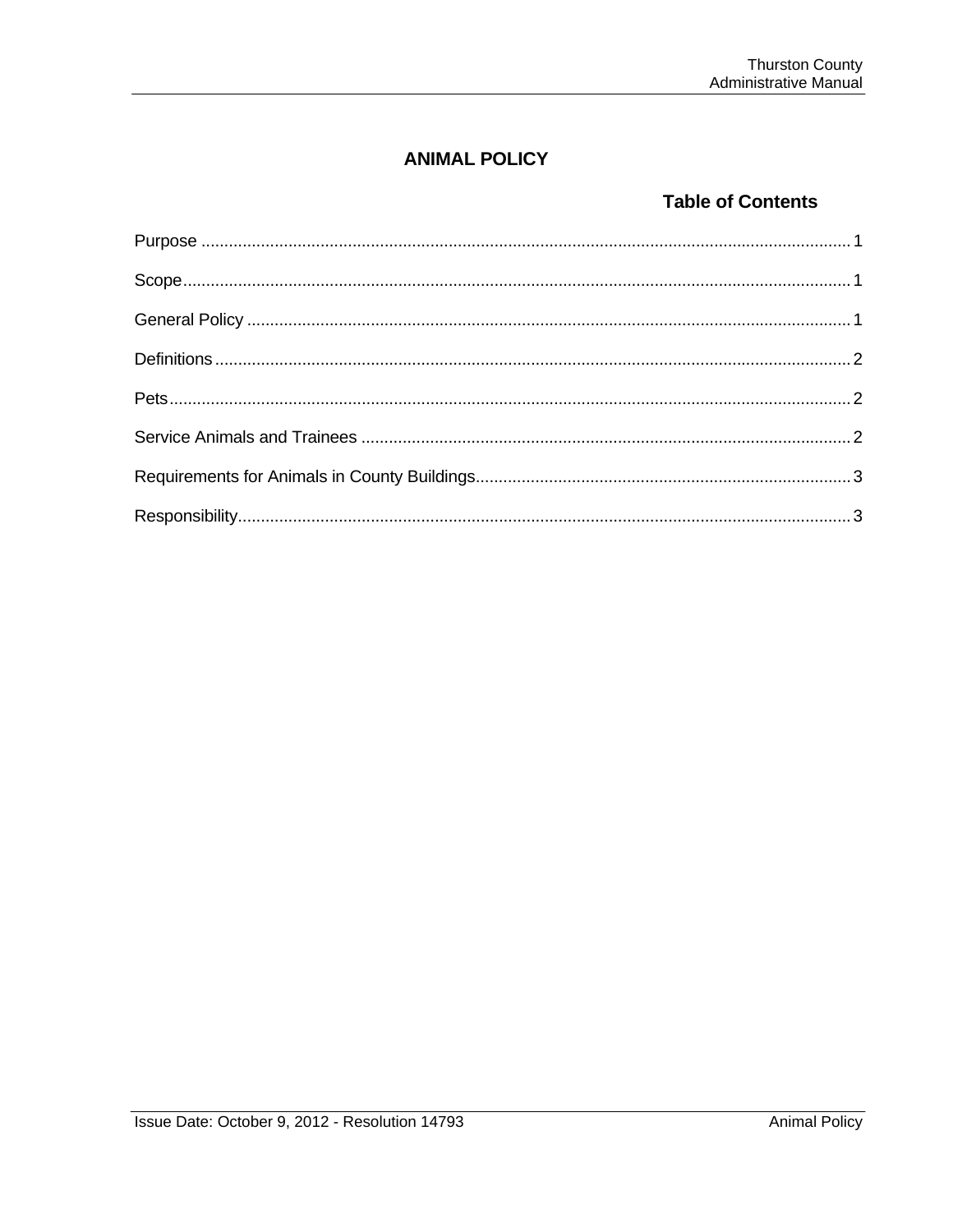# **ANIMAL POLICY**

## **Table of Contents**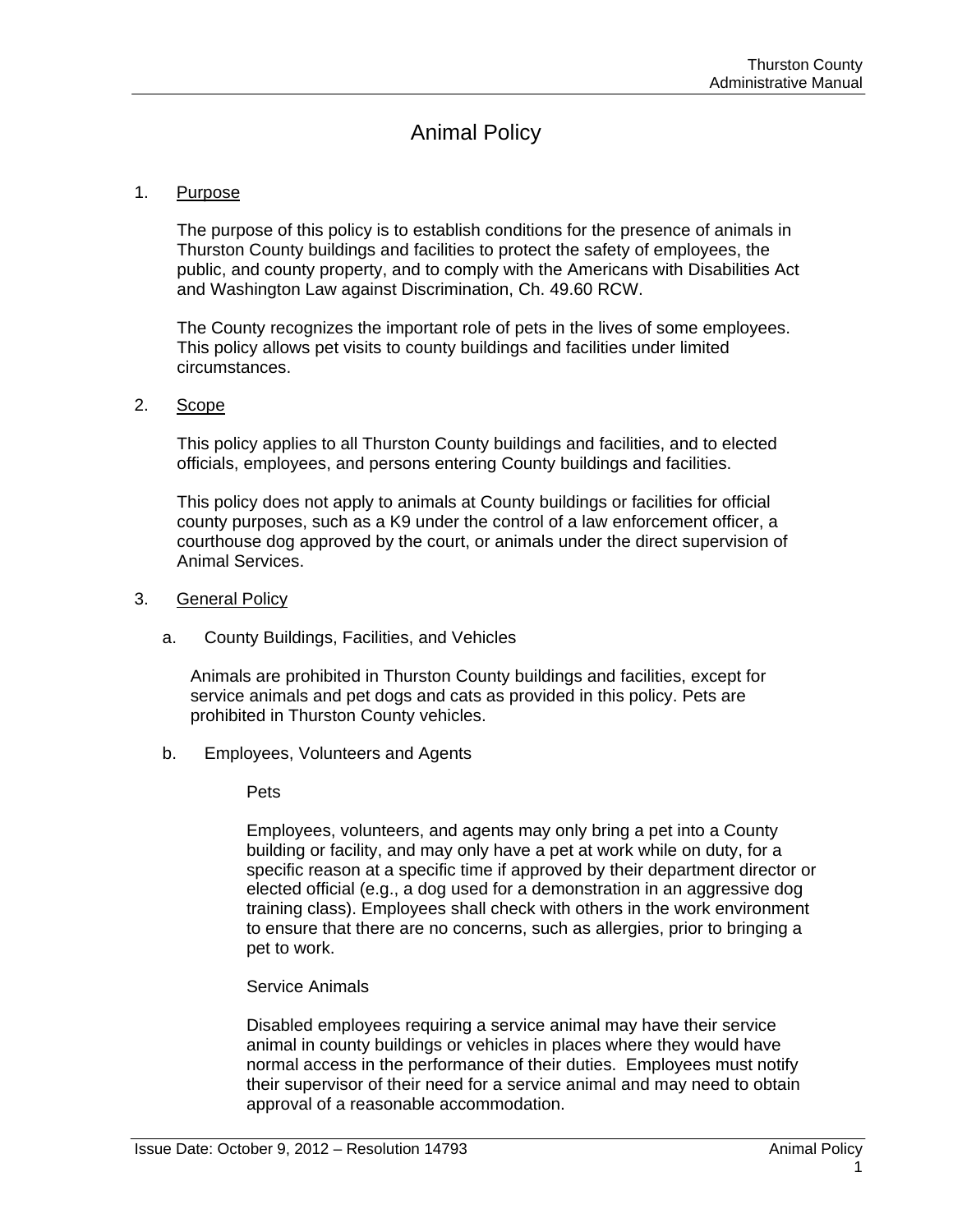# Animal Policy

#### 1. Purpose

The purpose of this policy is to establish conditions for the presence of animals in Thurston County buildings and facilities to protect the safety of employees, the public, and county property, and to comply with the Americans with Disabilities Act and Washington Law against Discrimination, Ch. 49.60 RCW.

The County recognizes the important role of pets in the lives of some employees. This policy allows pet visits to county buildings and facilities under limited circumstances.

#### 2. Scope

This policy applies to all Thurston County buildings and facilities, and to elected officials, employees, and persons entering County buildings and facilities.

This policy does not apply to animals at County buildings or facilities for official county purposes, such as a K9 under the control of a law enforcement officer, a courthouse dog approved by the court, or animals under the direct supervision of Animal Services.

- 3. General Policy
	- a. County Buildings, Facilities, and Vehicles

Animals are prohibited in Thurston County buildings and facilities, except for service animals and pet dogs and cats as provided in this policy. Pets are prohibited in Thurston County vehicles.

b. Employees, Volunteers and Agents

Pets

Employees, volunteers, and agents may only bring a pet into a County building or facility, and may only have a pet at work while on duty, for a specific reason at a specific time if approved by their department director or elected official (e.g., a dog used for a demonstration in an aggressive dog training class). Employees shall check with others in the work environment to ensure that there are no concerns, such as allergies, prior to bringing a pet to work.

## Service Animals

Disabled employees requiring a service animal may have their service animal in county buildings or vehicles in places where they would have normal access in the performance of their duties. Employees must notify their supervisor of their need for a service animal and may need to obtain approval of a reasonable accommodation.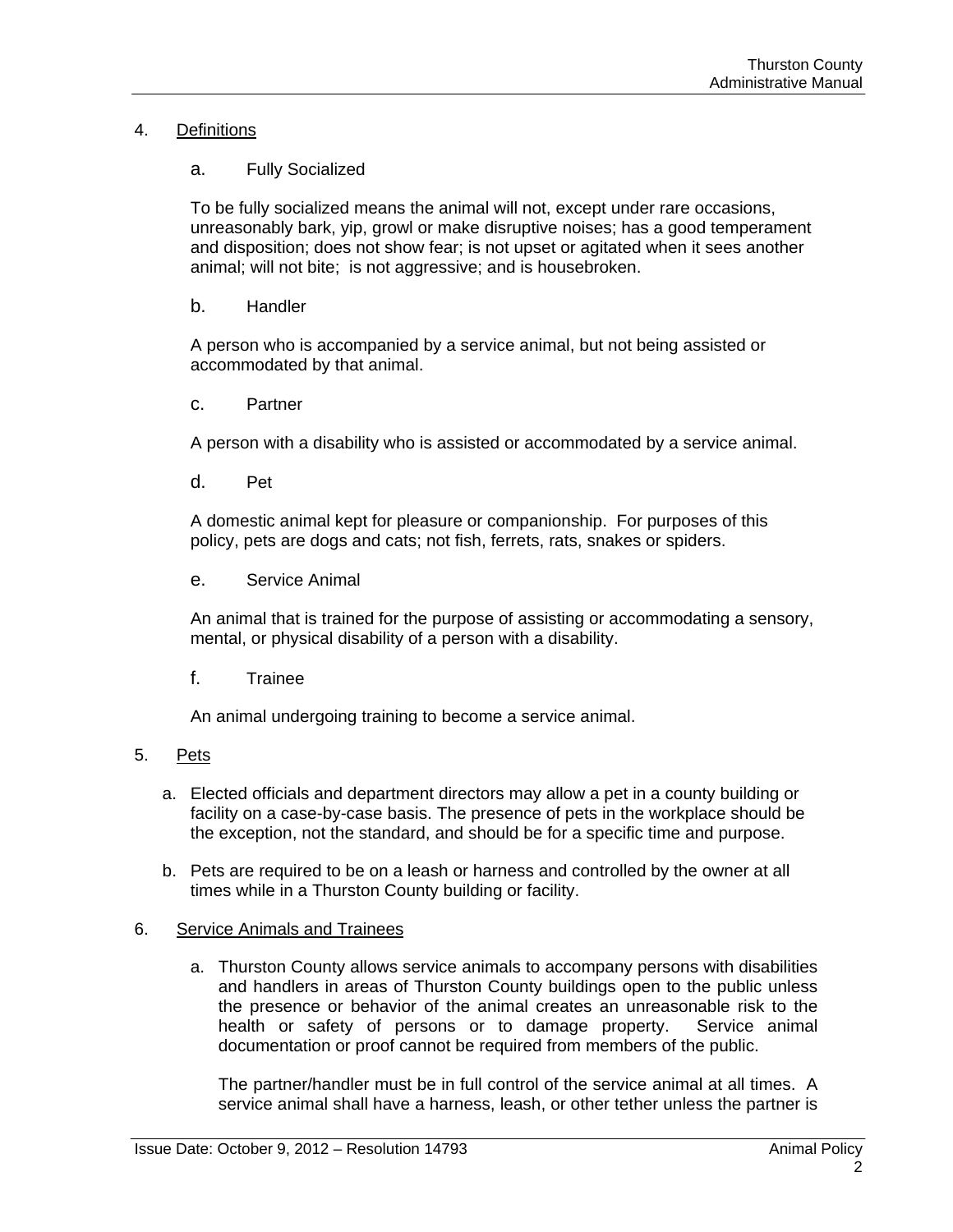## 4. Definitions

## a. Fully Socialized

To be fully socialized means the animal will not, except under rare occasions, unreasonably bark, yip, growl or make disruptive noises; has a good temperament and disposition; does not show fear; is not upset or agitated when it sees another animal; will not bite; is not aggressive; and is housebroken.

b. Handler

A person who is accompanied by a service animal, but not being assisted or accommodated by that animal.

c. Partner

A person with a disability who is assisted or accommodated by a service animal.

d. Pet

A domestic animal kept for pleasure or companionship. For purposes of this policy, pets are dogs and cats; not fish, ferrets, rats, snakes or spiders.

e. Service Animal

An animal that is trained for the purpose of assisting or accommodating a sensory, mental, or physical disability of a person with a disability.

f. Trainee

An animal undergoing training to become a service animal.

- 5. Pets
	- a. Elected officials and department directors may allow a pet in a county building or facility on a case-by-case basis. The presence of pets in the workplace should be the exception, not the standard, and should be for a specific time and purpose.
	- b. Pets are required to be on a leash or harness and controlled by the owner at all times while in a Thurston County building or facility.

## 6. Service Animals and Trainees

a. Thurston County allows service animals to accompany persons with disabilities and handlers in areas of Thurston County buildings open to the public unless the presence or behavior of the animal creates an unreasonable risk to the health or safety of persons or to damage property. Service animal documentation or proof cannot be required from members of the public.

The partner/handler must be in full control of the service animal at all times. A service animal shall have a harness, leash, or other tether unless the partner is